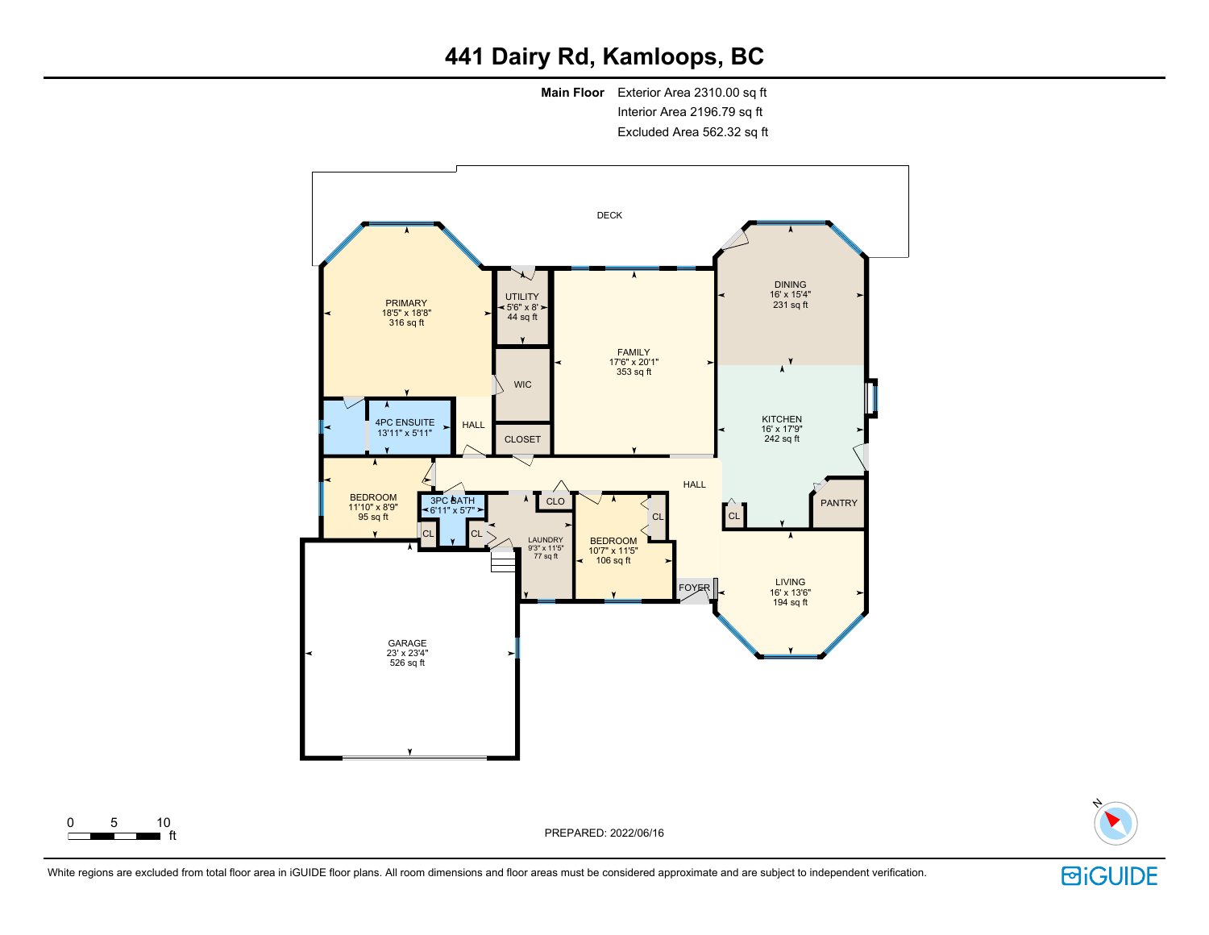# **441 Dairy Rd, Kamloops, BC**

**Main Floor** Exterior Area 2310.00 sq ft Interior Area 2196.79 sq ft Excluded Area 562.32 sq ft



ft PREPARED: 2022/06/16



White regions are excluded from total floor area in iGUIDE floor plans. All room dimensions and floor areas must be considered approximate and are subject to independent verification.

 $0 \t 5 \t 10$ <br>the ft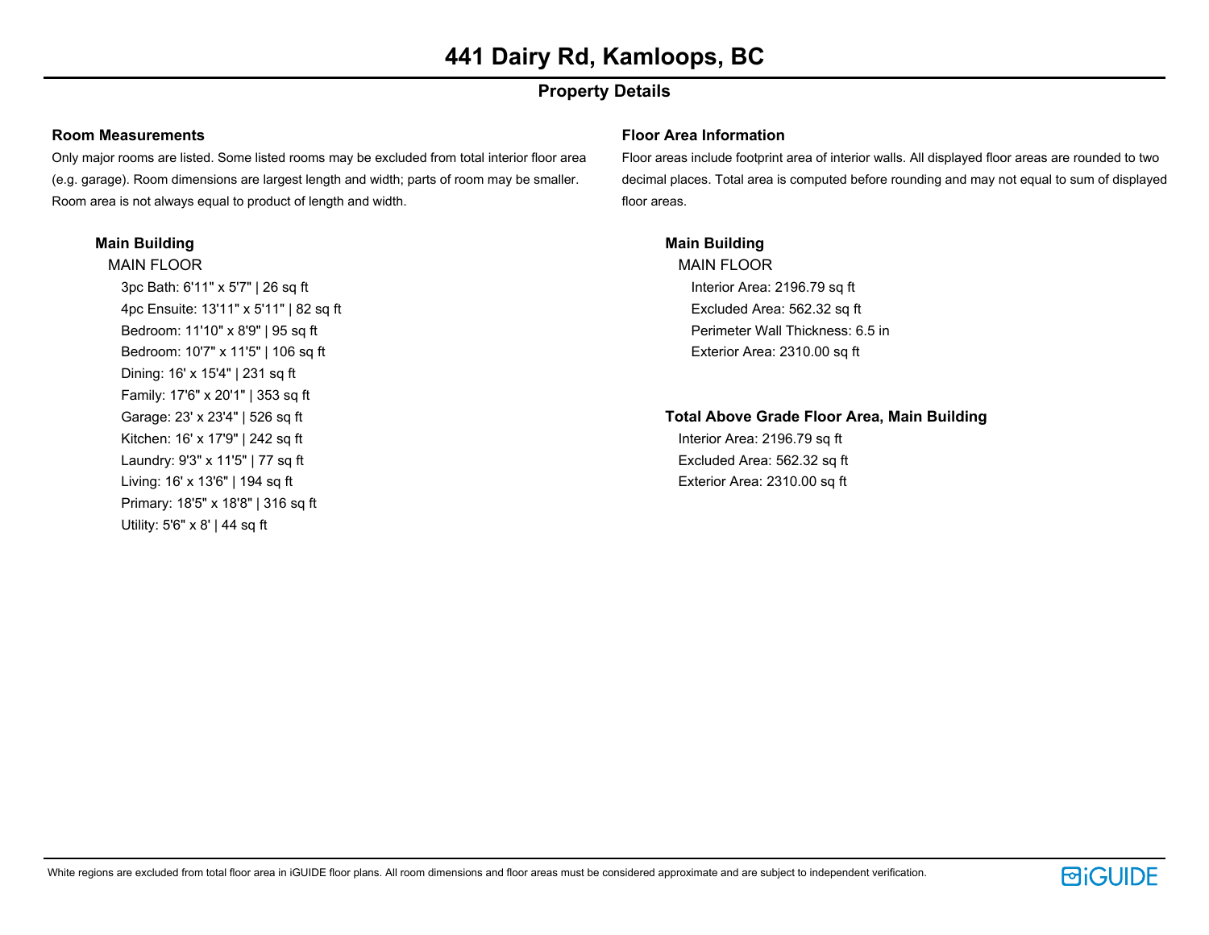## **Property Details**

### **Room Measurements**

Only major rooms are listed. Some listed rooms may be excluded from total interior floor area (e.g. garage). Room dimensions are largest length and width; parts of room may be smaller. Room area is not always equal to product of length and width.

### **Main Building**

MAIN FLOOR 3pc Bath: 6'11" x 5'7" | 26 sq ft 4pc Ensuite: 13'11" x 5'11" | 82 sq ft Bedroom: 11'10" x 8'9" | 95 sq ft Bedroom: 10'7" x 11'5" | 106 sq ft Dining: 16' x 15'4" | 231 sq ft Family: 17'6" x 20'1" | 353 sq ft Garage: 23' x 23'4" | 526 sq ft Kitchen: 16' x 17'9" | 242 sq ft Laundry: 9'3" x 11'5" | 77 sq ft Living: 16' x 13'6" | 194 sq ft Primary: 18'5" x 18'8" | 316 sq ft Utility: 5'6" x 8' | 44 sq ft

### **Floor Area Information**

Floor areas include footprint area of interior walls. All displayed floor areas are rounded to two decimal places. Total area is computed before rounding and may not equal to sum of displayed floor areas.

### **Main Building**

MAIN FLOOR Interior Area: 2196.79 sq ft Excluded Area: 562.32 sq ft Perimeter Wall Thickness: 6.5 in Exterior Area: 2310.00 sq ft

### **Total Above Grade Floor Area, Main Building**

Interior Area: 2196.79 sq ft Excluded Area: 562.32 sq ft Exterior Area: 2310.00 sq ft